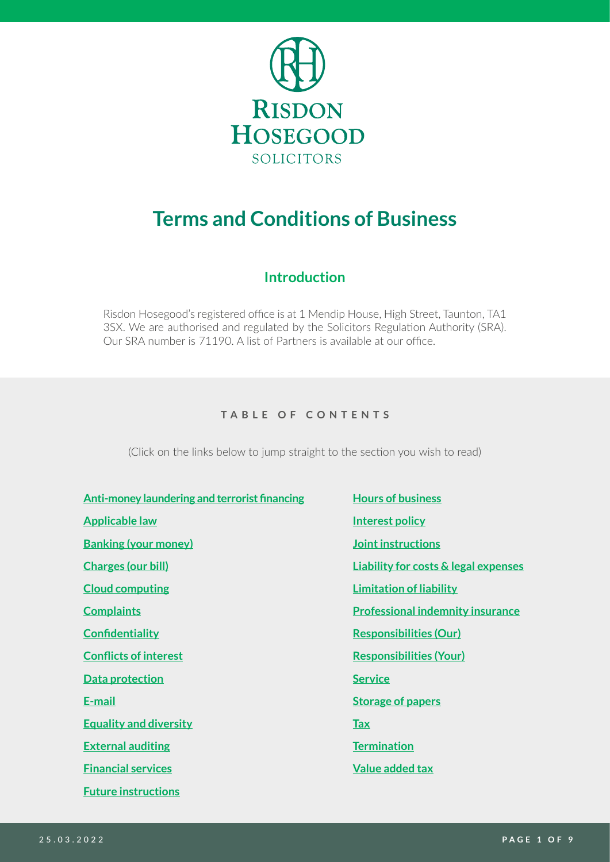

# **Terms and Conditions of Business**

# **Introduction**

Risdon Hosegood's registered office is at 1 Mendip House, High Street, Taunton, TA1 3SX. We are authorised and regulated by the Solicitors Regulation Authority (SRA). Our SRA number is 71190. A list of Partners is available at our office.

#### **TABLE OF CONTENTS**

(Click on the links below to jump straight to the section you wish to read)

- **[Anti-money laundering and terrorist financing](#page-5-1) Applicable law [Banking \(your money\)](#page-6-1) [Charges \(our bill\)](#page-1-1) Cloud computing [Complaints](#page-8-1) [Confidentiality](#page-4-1) Conflicts of interest [Data protection](#page-4-2) [E-mail](#page-4-3) Equality and diversity [External auditing](#page-8-2) [Financial services](#page-7-3) [Future instructions](#page-4-4)**
- **Hours of business [Interest policy](#page-6-0) Joint instructions [Liability for costs & legal expenses](#page-7-0) [Limitation of liability](#page-8-0) [Professional indemnity insurance](#page-7-1) Responsibilities (Our) Responsibilities (Your) [Service](#page-1-0) [Storage of papers](#page-7-2) [Tax](#page-4-0) [Termination](#page-5-0) [Value added tax](#page-3-0)**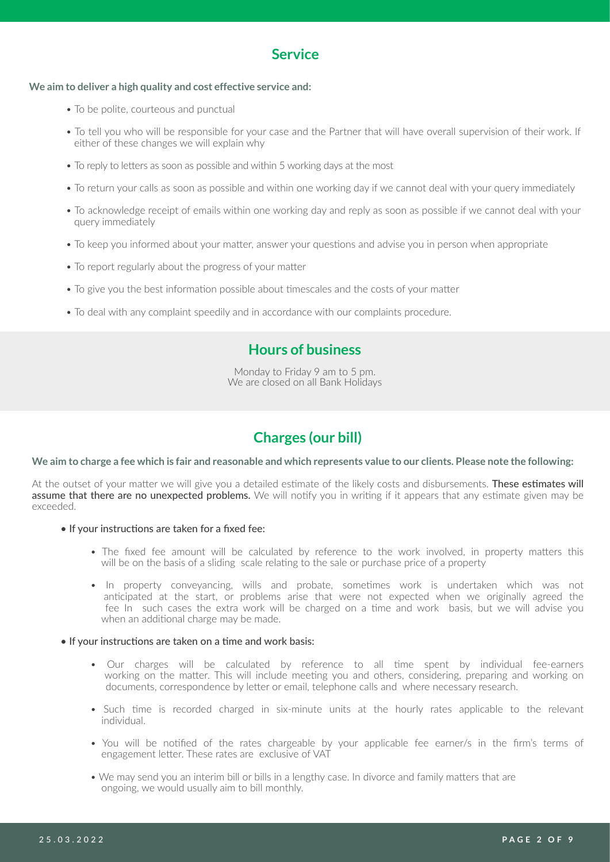# <span id="page-1-0"></span>**Service**

#### **We aim to deliver a high quality and cost effective service and:**

- To be polite, courteous and punctual
- To tell you who will be responsible for your case and the Partner that will have overall supervision of their work. If either of these changes we will explain why
- To reply to letters as soon as possible and within 5 working days at the most
- To return your calls as soon as possible and within one working day if we cannot deal with your query immediately
- To acknowledge receipt of emails within one working day and reply as soon as possible if we cannot deal with your query immediately
- To keep you informed about your matter, answer your questions and advise you in person when appropriate
- To report regularly about the progress of your matter
- To give you the best information possible about timescales and the costs of your matter
- To deal with any complaint speedily and in accordance with our complaints procedure.

# **Hours of business**

Monday to Friday 9 am to 5 pm. We are closed on all Bank Holidays

# <span id="page-1-1"></span>**Charges (our bill)**

#### **We aim to charge a fee which is fair and reasonable and which represents value to our clients. Please note the following:**

At the outset of your matter we will give you a detailed estimate of the likely costs and disbursements. These estimates will assume that there are no unexpected problems. We will notify you in writing if it appears that any estimate given may be exceeded.

- If your instructions are taken for a fixed fee:
	- The fixed fee amount will be calculated by reference to the work involved, in property matters this will be on the basis of a sliding scale relating to the sale or purchase price of a property
	- In property conveyancing, wills and probate, sometimes work is undertaken which was not anticipated at the start, or problems arise that were not expected when we originally agreed the fee In such cases the extra work will be charged on a time and work basis, but we will advise you when an additional charge may be made.

#### • If your instructions are taken on a time and work basis:

- Our charges will be calculated by reference to all time spent by individual fee-earners working on the matter. This will include meeting you and others, considering, preparing and working on documents, correspondence by letter or email, telephone calls and where necessary research.
- Such time is recorded charged in six-minute units at the hourly rates applicable to the relevant individual.
- You will be notified of the rates chargeable by your applicable fee earner/s in the firm's terms of engagement letter. These rates are exclusive of VAT
- We may send you an interim bill or bills in a lengthy case. In divorce and family matters that are ongoing, we would usually aim to bill monthly.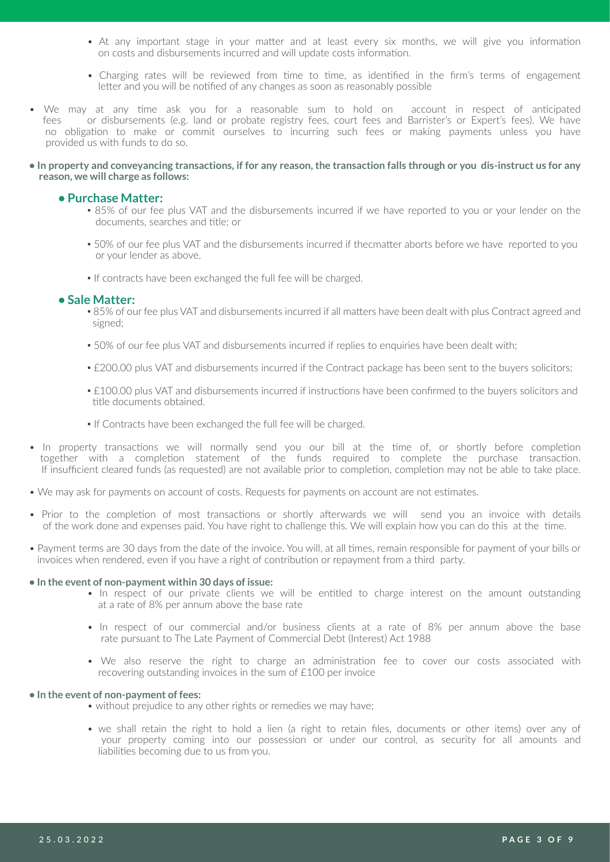- At any important stage in your matter and at least every six months, we will give you information on costs and disbursements incurred and will update costs information.
- Charging rates will be reviewed from time to time, as identified in the firm's terms of engagement letter and you will be notified of any changes as soon as reasonably possible
- We may at any time ask you for a reasonable sum to hold on account in respect of anticipated fees or disbursements (e.g. land or probate registry fees, court fees and Barrister's or Expert's fees). We have no obligation to make or commit ourselves to incurring such fees or making payments unless you have provided us with funds to do so.
- **In property and conveyancing transactions, if for any reason, the transaction falls through or you dis-instruct us for any reason, we will charge as follows:**

#### **• Purchase Matter:**

- 85% of our fee plus VAT and the disbursements incurred if we have reported to you or your lender on the documents, searches and title; or
- 50% of our fee plus VAT and the disbursements incurred if thecmatter aborts before we have reported to you or your lender as above.
- If contracts have been exchanged the full fee will be charged.

#### **• Sale Matter:**

- . 85% of our fee plus VAT and disbursements incurred if all matters have been dealt with plus Contract agreed and signed;
- 50% of our fee plus VAT and disbursements incurred if replies to enquiries have been dealt with;
- £200.00 plus VAT and disbursements incurred if the Contract package has been sent to the buyers solicitors;
- £100.00 plus VAT and disbursements incurred if instructions have been confirmed to the buvers solicitors and title documents obtained.
- **.** If Contracts have been exchanged the full fee will be charged.
- In property transactions we will normally send you our bill at the time of, or shortly before completion together with a completion statement of the funds required to complete the purchase transaction. If insufficient cleared funds (as requested) are not available prior to completion, completion may not be able to take place.
- We may ask for payments on account of costs. Requests for payments on account are not estimates.
- Prior to the completion of most transactions or shortly afterwards we will send you an invoice with details of the work done and expenses paid. You have right to challenge this. We will explain how you can do this at the time.
- Payment terms are 30 days from the date of the invoice. You will, at all times, remain responsible for payment of your bills or invoices when rendered, even if you have a right of contribution or repayment from a third party.

#### **• In the event of non-payment within 30 days of issue:**

- In respect of our private clients we will be entitled to charge interest on the amount outstanding at a rate of 8% per annum above the base rate
- In respect of our commercial and/or business clients at a rate of 8% per annum above the base rate pursuant to The Late Payment of Commercial Debt (Interest) Act 1988
- We also reserve the right to charge an administration fee to cover our costs associated with recovering outstanding invoices in the sum of £100 per invoice

#### **• In the event of non-payment of fees:**

- without prejudice to any other rights or remedies we may have;
- we shall retain the right to hold a lien (a right to retain files, documents or other items) over any of your property coming into our possession or under our control, as security for all amounts and liabilities becoming due to us from you.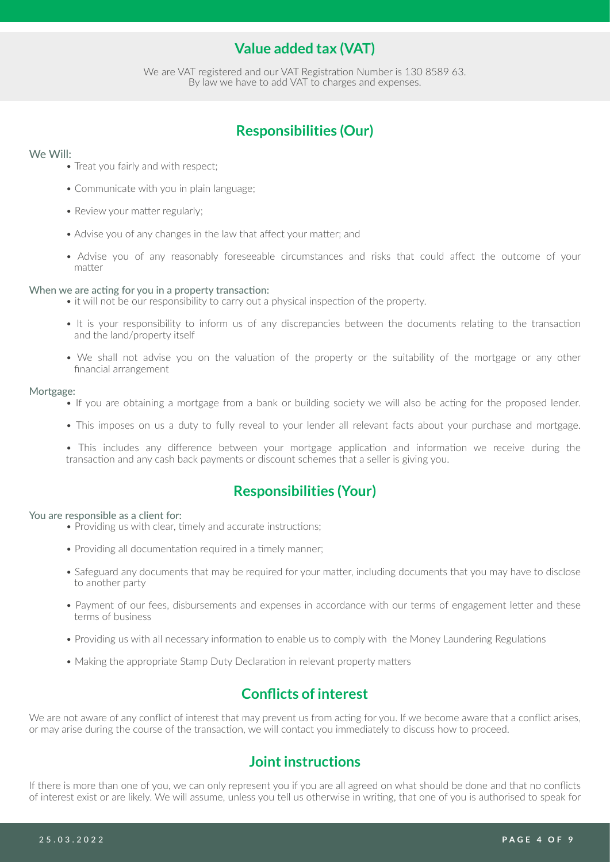# <span id="page-3-0"></span>**Value added tax (VAT)**

We are VAT registered and our VAT Registration Number is 130 8589 63. By law we have to add VAT to charges and expenses.

# **Responsibilities (Our)**

#### We Will:

- Treat you fairly and with respect;
- Communicate with you in plain language;
- Review your matter regularly;
- Advise you of any changes in the law that affect your matter; and
- Advise you of any reasonably foreseeable circumstances and risks that could affect the outcome of your matter

#### When we are acting for you in a property transaction:

- it will not be our responsibility to carry out a physical inspection of the property.
- It is your responsibility to inform us of any discrepancies between the documents relating to the transaction and the land/property itself
- We shall not advise you on the valuation of the property or the suitability of the mortgage or any other financial arrangement

#### Mortgage:

- If you are obtaining a mortgage from a bank or building society we will also be acting for the proposed lender.
- This imposes on us a duty to fully reveal to your lender all relevant facts about your purchase and mortgage.

• This includes any difference between your mortgage application and information we receive during the transaction and any cash back payments or discount schemes that a seller is giving you.

### **Responsibilities (Your)**

#### You are responsible as a client for:

- Providing us with clear, timely and accurate instructions;
- Providing all documentation required in a timely manner;
- Safeguard any documents that may be required for your matter, including documents that you may have to disclose to another party
- Payment of our fees, disbursements and expenses in accordance with our terms of engagement letter and these terms of business
- Providing us with all necessary information to enable us to comply with the Money Laundering Regulations
- Making the appropriate Stamp Duty Declaration in relevant property matters

### **Conflicts of interest**

We are not aware of any conflict of interest that may prevent us from acting for you. If we become aware that a conflict arises, or may arise during the course of the transaction, we will contact you immediately to discuss how to proceed.

### **Joint instructions**

If there is more than one of you, we can only represent you if you are all agreed on what should be done and that no conflicts of interest exist or are likely. We will assume, unless you tell us otherwise in writing, that one of you is authorised to speak for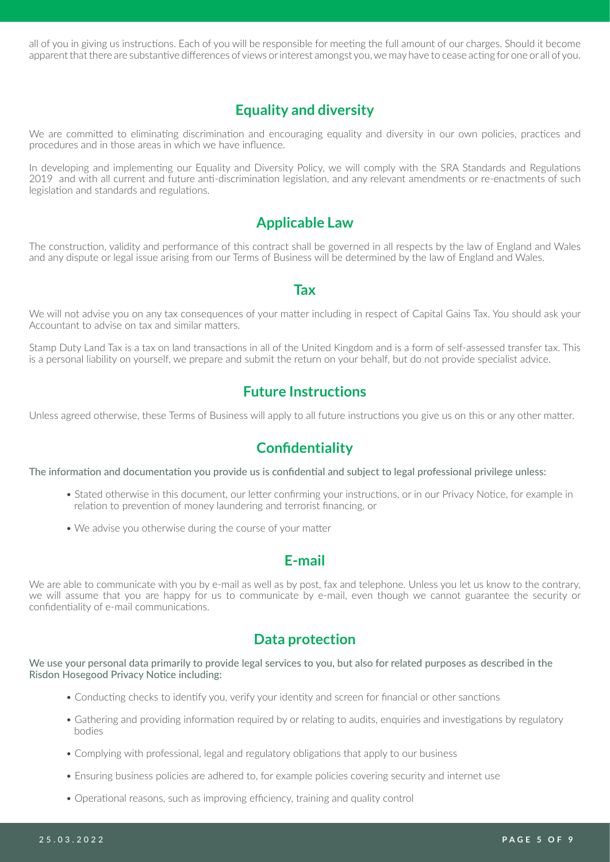all of you in giving us instructions. Each of you will be responsible for meeting the full amount of our charges. Should it become apparent that there are substantive differences of views or interest amongst you, we may have to cease acting for one or all of you.

# **Equality and diversity**

We are committed to eliminating discrimination and encouraging equality and diversity in our own policies, practices and procedures and in those areas in which we have influence.

In developing and implementing our Equality and Diversity Policy, we will comply with the SRA Standards and Regulations 2019 and with all current and future anti-discrimination legislation, and any relevant amendments or re-enactments of such legislation and standards and regulations.

### **Applicable Law**

The construction, validity and performance of this contract shall be governed in all respects by the law of England and Wales and any dispute or legal issue arising from our Terms of Business will be determined by the law of England and Wales.

#### <span id="page-4-4"></span><span id="page-4-0"></span>**Tax**

We will not advise you on any tax consequences of your matter including in respect of Capital Gains Tax. You should ask your Accountant to advise on tax and similar matters.

Stamp Duty Land Tax is a tax on land transactions in all of the United Kingdom and is a form of self-assessed transfer tax. This is a personal liability on yourself, we prepare and submit the return on your behalf, but do not provide specialist advice.

### **Future Instructions**

Unless agreed otherwise, these Terms of Business will apply to all future instructions you give us on this or any other matter.

### <span id="page-4-1"></span>**Confidentiality**

The information and documentation you provide us is confidential and subject to legal professional privilege unless:

- Stated otherwise in this document, our letter confirming your instructions, or in our Privacy Notice, for example in relation to prevention of money laundering and terrorist financing, or
- We advise you otherwise during the course of your matter

### <span id="page-4-3"></span><span id="page-4-2"></span>**E-mail**

We are able to communicate with you by e-mail as well as by post, fax and telephone. Unless you let us know to the contrary, we will assume that you are happy for us to communicate by e-mail, even though we cannot guarantee the security or confidentiality of e-mail communications.

### **Data protection**

We use your personal data primarily to provide legal services to you, but also for related purposes as described in the Risdon Hosegood Privacy Notice including:

- Conducting checks to identify you, verify your identity and screen for financial or other sanctions
- Gathering and providing information required by or relating to audits, enquiries and investigations by regulatory bodies
- Complying with professional, legal and regulatory obligations that apply to our business
- Ensuring business policies are adhered to, for example policies covering security and internet use
- Operational reasons, such as improving efficiency, training and quality control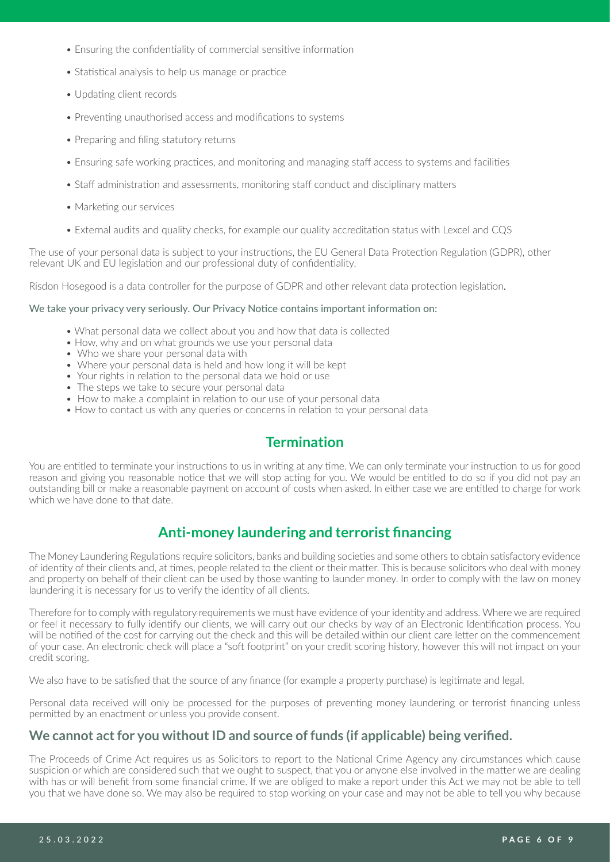- Ensuring the confidentiality of commercial sensitive information
- Statistical analysis to help us manage or practice
- Updating client records
- Preventing unauthorised access and modifications to systems
- Preparing and filing statutory returns
- Ensuring safe working practices, and monitoring and managing staff access to systems and facilities
- Staff administration and assessments, monitoring staff conduct and disciplinary matters
- Marketing our services
- External audits and quality checks, for example our quality accreditation status with Lexcel and CQS

The use of your personal data is subject to your instructions, the EU General Data Protection Regulation (GDPR), other relevant UK and EU legislation and our professional duty of confidentiality.

Risdon Hosegood is a data controller for the purpose of GDPR and other relevant data protection legislation.

#### We take your privacy very seriously. Our Privacy Notice contains important information on:

- What personal data we collect about you and how that data is collected
- How, why and on what grounds we use your personal data
- Who we share your personal data with
- Where your personal data is held and how long it will be kept
- Your rights in relation to the personal data we hold or use
- The steps we take to secure your personal data
- How to make a complaint in relation to our use of your personal data
- How to contact us with any queries or concerns in relation to your personal data

### <span id="page-5-1"></span><span id="page-5-0"></span>**Termination**

You are entitled to terminate your instructions to us in writing at any time. We can only terminate your instruction to us for good reason and giving you reasonable notice that we will stop acting for you. We would be entitled to do so if you did not pay an outstanding bill or make a reasonable payment on account of costs when asked. In either case we are entitled to charge for work which we have done to that date.

# **Anti-money laundering and terrorist financing**

The Money Laundering Regulations require solicitors, banks and building societies and some others to obtain satisfactory evidence of identity of their clients and, at times, people related to the client or their matter. This is because solicitors who deal with money and property on behalf of their client can be used by those wanting to launder money. In order to comply with the law on money laundering it is necessary for us to verify the identity of all clients.

Therefore for to comply with regulatory requirements we must have evidence of your identity and address. Where we are required or feel it necessary to fully identify our clients, we will carry out our checks by way of an Electronic Identification process. You will be notified of the cost for carrying out the check and this will be detailed within our client care letter on the commencement of your case. An electronic check will place a "soft footprint" on your credit scoring history, however this will not impact on your credit scoring.

We also have to be satisfied that the source of any finance (for example a property purchase) is legitimate and legal.

Personal data received will only be processed for the purposes of preventing money laundering or terrorist financing unless permitted by an enactment or unless you provide consent.

#### **We cannot act for you without ID and source of funds (if applicable) being verified.**

The Proceeds of Crime Act requires us as Solicitors to report to the National Crime Agency any circumstances which cause suspicion or which are considered such that we ought to suspect, that you or anyone else involved in the matter we are dealing with has or will benefit from some financial crime. If we are obliged to make a report under this Act we may not be able to tell you that we have done so. We may also be required to stop working on your case and may not be able to tell you why because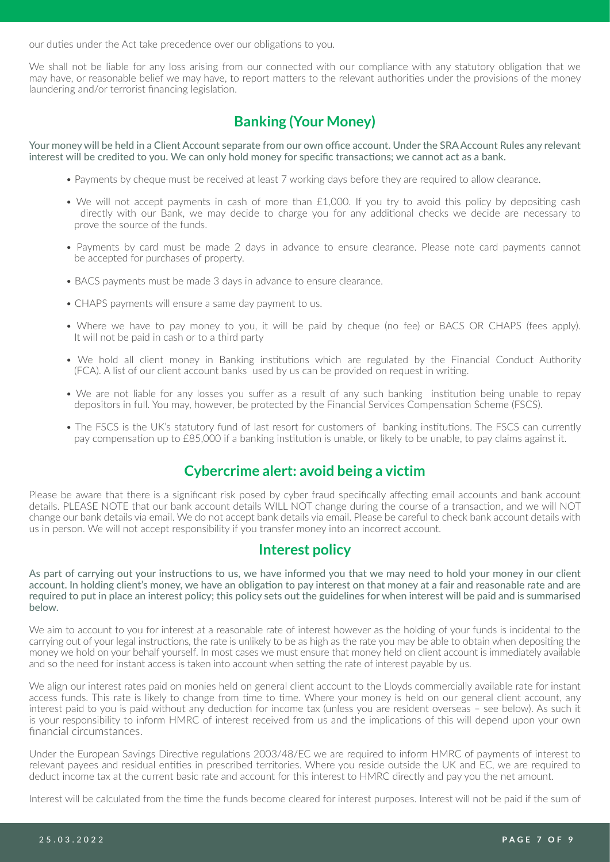our duties under the Act take precedence over our obligations to you.

We shall not be liable for any loss arising from our connected with our compliance with any statutory obligation that we may have, or reasonable belief we may have, to report matters to the relevant authorities under the provisions of the money laundering and/or terrorist financing legislation.

# <span id="page-6-1"></span>**Banking (Your Money)**

Your money will be held in a Client Account separate from our own office account. Under the SRA Account Rules any relevant interest will be credited to you. We can only hold money for specific transactions; we cannot act as a bank.

- Payments by cheque must be received at least 7 working days before they are required to allow clearance.
- We will not accept payments in cash of more than £1,000. If you try to avoid this policy by depositing cash directly with our Bank, we may decide to charge you for any additional checks we decide are necessary to prove the source of the funds.
- Payments by card must be made 2 days in advance to ensure clearance. Please note card payments cannot be accepted for purchases of property.
- BACS payments must be made 3 days in advance to ensure clearance.
- CHAPS payments will ensure a same day payment to us.
- Where we have to pay money to you, it will be paid by cheque (no fee) or BACS OR CHAPS (fees apply). It will not be paid in cash or to a third party
- We hold all client money in Banking institutions which are regulated by the Financial Conduct Authority (FCA). A list of our client account banks used by us can be provided on request in writing.
- We are not liable for any losses you suffer as a result of any such banking institution being unable to repay depositors in full. You may, however, be protected by the Financial Services Compensation Scheme (FSCS).
- The FSCS is the UK's statutory fund of last resort for customers of banking institutions. The FSCS can currently pay compensation up to £85,000 if a banking institution is unable, or likely to be unable, to pay claims against it.

# **Cybercrime alert: avoid being a victim**

Please be aware that there is a significant risk posed by cyber fraud specifically affecting email accounts and bank account details. PLEASE NOTE that our bank account details WILL NOT change during the course of a transaction, and we will NOT change our bank details via email. We do not accept bank details via email. Please be careful to check bank account details with us in person. We will not accept responsibility if you transfer money into an incorrect account.

### <span id="page-6-0"></span>**Interest policy**

As part of carrying out your instructions to us, we have informed you that we may need to hold your money in our client account. In holding client's money, we have an obligation to pay interest on that money at a fair and reasonable rate and are required to put in place an interest policy; this policy sets out the guidelines for when interest will be paid and is summarised below.

We aim to account to you for interest at a reasonable rate of interest however as the holding of your funds is incidental to the carrying out of your legal instructions, the rate is unlikely to be as high as the rate you may be able to obtain when depositing the money we hold on your behalf yourself. In most cases we must ensure that money held on client account is immediately available and so the need for instant access is taken into account when setting the rate of interest payable by us.

We align our interest rates paid on monies held on general client account to the Lloyds commercially available rate for instant access funds. This rate is likely to change from time to time. Where your money is held on our general client account, any interest paid to you is paid without any deduction for income tax (unless you are resident overseas – see below). As such it is your responsibility to inform HMRC of interest received from us and the implications of this will depend upon your own financial circumstances.

Under the European Savings Directive regulations 2003/48/EC we are required to inform HMRC of payments of interest to relevant payees and residual entities in prescribed territories. Where you reside outside the UK and EC, we are required to deduct income tax at the current basic rate and account for this interest to HMRC directly and pay you the net amount.

Interest will be calculated from the time the funds become cleared for interest purposes. Interest will not be paid if the sum of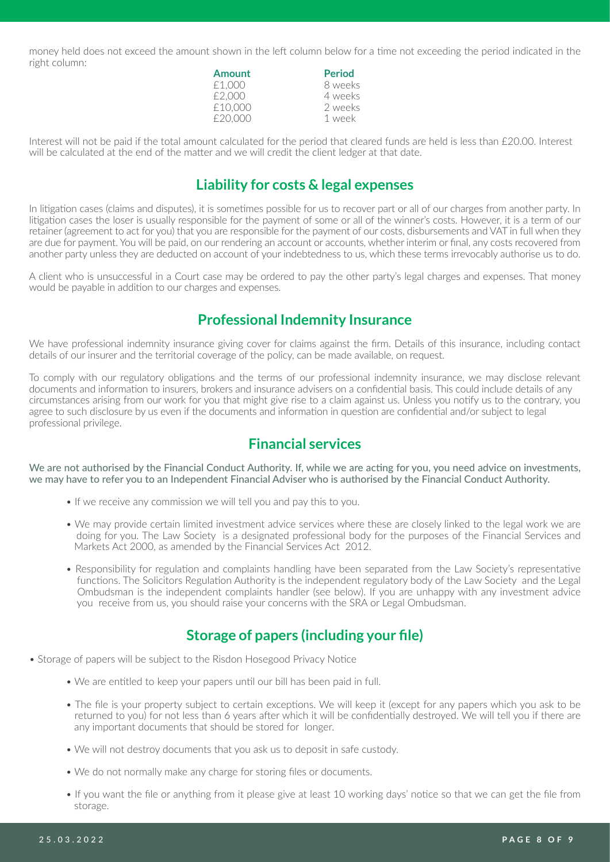money held does not exceed the amount shown in the left column below for a time not exceeding the period indicated in the right column:

| Amount  | <b>Period</b> |
|---------|---------------|
| £1,000  | 8 weeks       |
| £2,000  | 4 weeks       |
| £10,000 | 2 weeks       |
| £20,000 | 1 week        |

Interest will not be paid if the total amount calculated for the period that cleared funds are held is less than £20.00. Interest will be calculated at the end of the matter and we will credit the client ledger at that date.

### <span id="page-7-0"></span>**Liability for costs & legal expenses**

In litigation cases (claims and disputes), it is sometimes possible for us to recover part or all of our charges from another party. In litigation cases the loser is usually responsible for the payment of some or all of the winner's costs. However, it is a term of our retainer (agreement to act for you) that you are responsible for the payment of our costs, disbursements and VAT in full when they are due for payment. You will be paid, on our rendering an account or accounts, whether interim or final, any costs recovered from another party unless they are deducted on account of your indebtedness to us, which these terms irrevocably authorise us to do.

A client who is unsuccessful in a Court case may be ordered to pay the other party's legal charges and expenses. That money would be payable in addition to our charges and expenses.

### <span id="page-7-1"></span>**Professional Indemnity Insurance**

We have professional indemnity insurance giving cover for claims against the firm. Details of this insurance, including contact details of our insurer and the territorial coverage of the policy, can be made available, on request.

To comply with our regulatory obligations and the terms of our professional indemnity insurance, we may disclose relevant documents and information to insurers, brokers and insurance advisers on a confidential basis. This could include details of any circumstances arising from our work for you that might give rise to a claim against us. Unless you notify us to the contrary, you agree to such disclosure by us even if the documents and information in question are confidential and/or subject to legal professional privilege.

# <span id="page-7-3"></span>**Financial services**

We are not authorised by the Financial Conduct Authority. If, while we are acting for you, you need advice on investments, we may have to refer you to an Independent Financial Adviser who is authorised by the Financial Conduct Authority.

- If we receive any commission we will tell you and pay this to you.
- We may provide certain limited investment advice services where these are closely linked to the legal work we are doing for you. The Law Society is a designated professional body for the purposes of the Financial Services and Markets Act 2000, as amended by the Financial Services Act 2012.
- Responsibility for regulation and complaints handling have been separated from the Law Society's representative functions. The Solicitors Regulation Authority is the independent regulatory body of the Law Society and the Legal Ombudsman is the independent complaints handler (see below). If you are unhappy with any investment advice you receive from us, you should raise your concerns with the SRA or Legal Ombudsman.

# <span id="page-7-2"></span>**Storage of papers (including your file)**

- Storage of papers will be subject to the Risdon Hosegood Privacy Notice
	- We are entitled to keep your papers until our bill has been paid in full.
	- The file is your property subject to certain exceptions. We will keep it (except for any papers which you ask to be returned to you) for not less than 6 years after which it will be confidentially destroyed. We will tell you if there are any important documents that should be stored for longer.
	- We will not destroy documents that you ask us to deposit in safe custody.
	- We do not normally make any charge for storing files or documents.
	- If you want the file or anything from it please give at least 10 working days' notice so that we can get the file from storage.